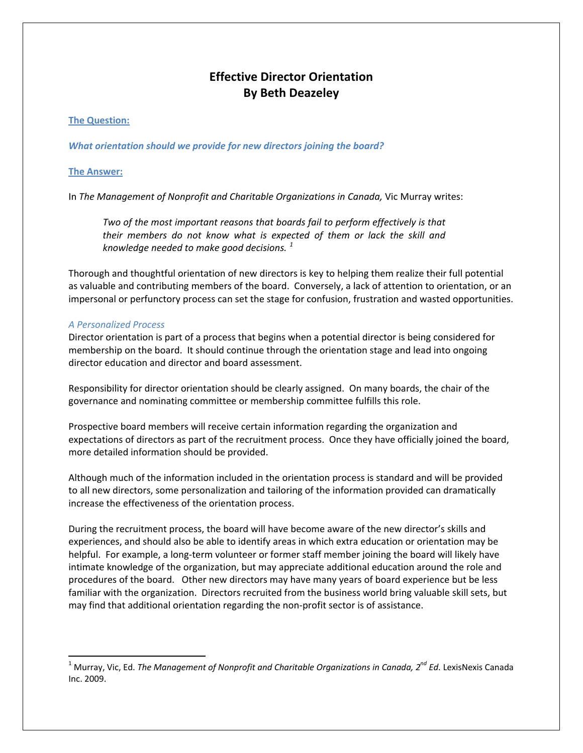# **Effective Director Orientation By Beth Deazeley**

# **The Question:**

*What orientation should we provide for new directors joining the board?*

# **The Answer:**

In *The Management of Nonprofit and Charitable Organizations in Canada,* Vic Murray writes:

*Two of the most important reasons that boards fail to perform effectively is that their members do not know what is expected of them or lack the skill and knowledge needed to make good decisions. [1](#page-0-0)*

Thorough and thoughtful orientation of new directors is key to helping them realize their full potential as valuable and contributing members of the board. Conversely, a lack of attention to orientation, or an impersonal or perfunctory process can set the stage for confusion, frustration and wasted opportunities.

## *A Personalized Process*

Director orientation is part of a process that begins when a potential director is being considered for membership on the board. It should continue through the orientation stage and lead into ongoing director education and director and board assessment.

Responsibility for director orientation should be clearly assigned. On many boards, the chair of the governance and nominating committee or membership committee fulfills this role.

Prospective board members will receive certain information regarding the organization and expectations of directors as part of the recruitment process. Once they have officially joined the board, more detailed information should be provided.

Although much of the information included in the orientation process is standard and will be provided to all new directors, some personalization and tailoring of the information provided can dramatically increase the effectiveness of the orientation process.

During the recruitment process, the board will have become aware of the new director's skills and experiences, and should also be able to identify areas in which extra education or orientation may be helpful. For example, a long-term volunteer or former staff member joining the board will likely have intimate knowledge of the organization, but may appreciate additional education around the role and procedures of the board. Other new directors may have many years of board experience but be less familiar with the organization. Directors recruited from the business world bring valuable skill sets, but may find that additional orientation regarding the non‐profit sector is of assistance.

<span id="page-0-0"></span><sup>1</sup> Murray, Vic, Ed. *The Management of Nonprofit and Charitable Organizations in Canada, 2nd Ed.* LexisNexis Canada Inc. 2009.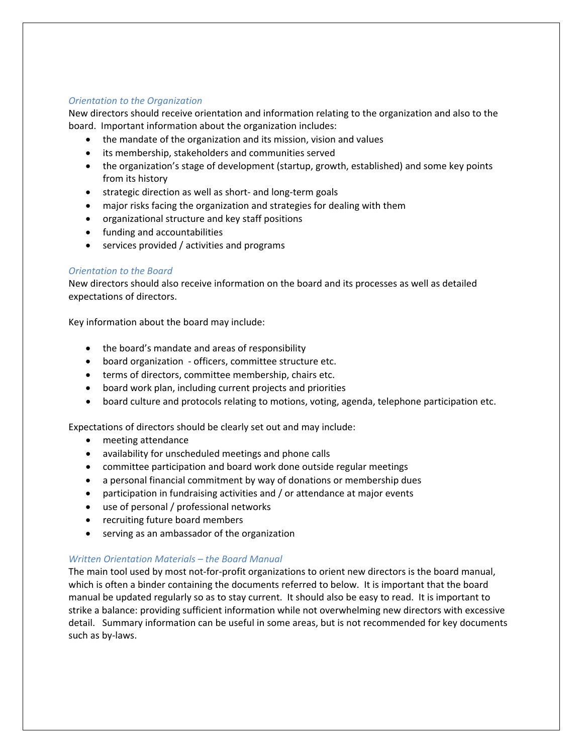## *Orientation to the Organization*

New directors should receive orientation and information relating to the organization and also to the board. Important information about the organization includes:

- the mandate of the organization and its mission, vision and values
- its membership, stakeholders and communities served
- the organization's stage of development (startup, growth, established) and some key points from its history
- strategic direction as well as short- and long-term goals
- major risks facing the organization and strategies for dealing with them
- organizational structure and key staff positions
- funding and accountabilities
- services provided / activities and programs

#### *Orientation to the Board*

New directors should also receive information on the board and its processes as well as detailed expectations of directors.

Key information about the board may include:

- the board's mandate and areas of responsibility
- board organization officers, committee structure etc.
- terms of directors, committee membership, chairs etc.
- board work plan, including current projects and priorities
- board culture and protocols relating to motions, voting, agenda, telephone participation etc.

Expectations of directors should be clearly set out and may include:

- meeting attendance
- availability for unscheduled meetings and phone calls
- committee participation and board work done outside regular meetings
- a personal financial commitment by way of donations or membership dues
- participation in fundraising activities and / or attendance at major events
- use of personal / professional networks
- recruiting future board members
- serving as an ambassador of the organization

#### *Written Orientation Materials – the Board Manual*

The main tool used by most not-for-profit organizations to orient new directors is the board manual, which is often a binder containing the documents referred to below. It is important that the board manual be updated regularly so as to stay current. It should also be easy to read. It is important to strike a balance: providing sufficient information while not overwhelming new directors with excessive detail. Summary information can be useful in some areas, but is not recommended for key documents such as by‐laws.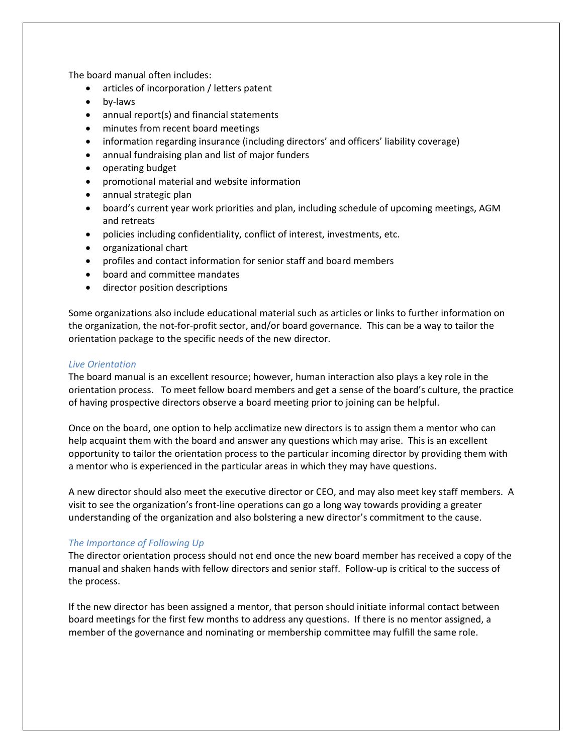The board manual often includes:

- articles of incorporation / letters patent
- by-laws
- annual report(s) and financial statements
- minutes from recent board meetings
- information regarding insurance (including directors' and officers' liability coverage)
- annual fundraising plan and list of major funders
- operating budget
- promotional material and website information
- annual strategic plan
- board's current year work priorities and plan, including schedule of upcoming meetings, AGM and retreats
- policies including confidentiality, conflict of interest, investments, etc.
- organizational chart
- profiles and contact information for senior staff and board members
- board and committee mandates
- director position descriptions

Some organizations also include educational material such as articles or links to further information on the organization, the not‐for‐profit sector, and/or board governance. This can be a way to tailor the orientation package to the specific needs of the new director.

#### *Live Orientation*

The board manual is an excellent resource; however, human interaction also plays a key role in the orientation process. To meet fellow board members and get a sense of the board's culture, the practice of having prospective directors observe a board meeting prior to joining can be helpful.

Once on the board, one option to help acclimatize new directors is to assign them a mentor who can help acquaint them with the board and answer any questions which may arise. This is an excellent opportunity to tailor the orientation process to the particular incoming director by providing them with a mentor who is experienced in the particular areas in which they may have questions.

A new director should also meet the executive director or CEO, and may also meet key staff members. A visit to see the organization's front‐line operations can go a long way towards providing a greater understanding of the organization and also bolstering a new director's commitment to the cause.

#### *The Importance of Following Up*

The director orientation process should not end once the new board member has received a copy of the manual and shaken hands with fellow directors and senior staff. Follow‐up is critical to the success of the process.

If the new director has been assigned a mentor, that person should initiate informal contact between board meetings for the first few months to address any questions. If there is no mentor assigned, a member of the governance and nominating or membership committee may fulfill the same role.